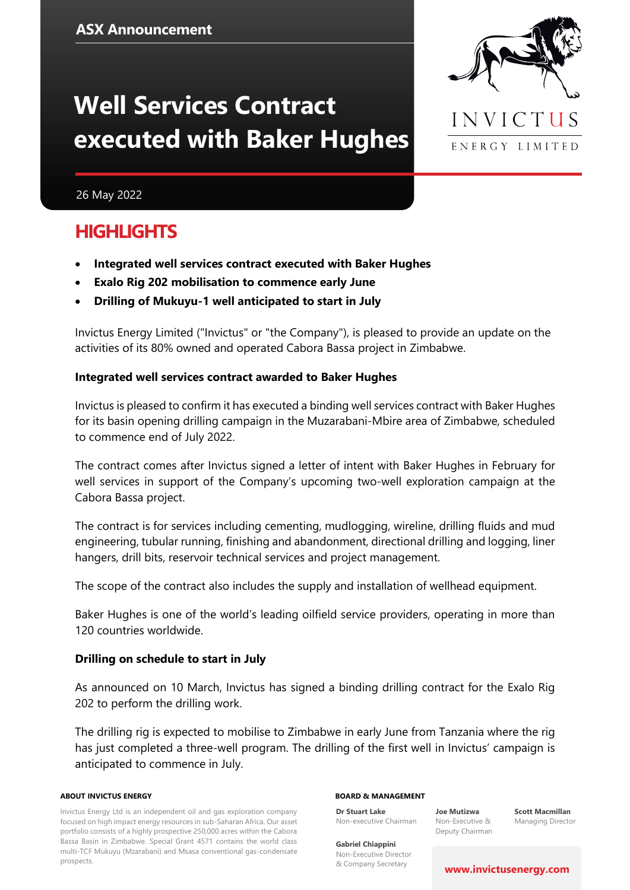# **Well Services Contract executed with Baker Hughes**



26 May 2022

### **HIGHLIGHTS**

- **Integrated well services contract executed with Baker Hughes**
- **Exalo Rig 202 mobilisation to commence early June**
- **Drilling of Mukuyu-1 well anticipated to start in July**

Invictus Energy Limited ("Invictus" or "the Company"), is pleased to provide an update on the activities of its 80% owned and operated Cabora Bassa project in Zimbabwe.

#### **Integrated well services contract awarded to Baker Hughes**

Invictus is pleased to confirm it has executed a binding well services contract with Baker Hughes for its basin opening drilling campaign in the Muzarabani-Mbire area of Zimbabwe, scheduled to commence end of July 2022.

The contract comes after Invictus signed a letter of intent with Baker Hughes in February for well services in support of the Company's upcoming two-well exploration campaign at the Cabora Bassa project.

The contract is for services including cementing, mudlogging, wireline, drilling fluids and mud engineering, tubular running, finishing and abandonment, directional drilling and logging, liner hangers, drill bits, reservoir technical services and project management.

The scope of the contract also includes the supply and installation of wellhead equipment.

Baker Hughes is one of the world's leading oilfield service providers, operating in more than 120 countries worldwide.

#### **Drilling on schedule to start in July**

As announced on 10 March, Invictus has signed a binding drilling contract for the Exalo Rig 202 to perform the drilling work.

The drilling rig is expected to mobilise to Zimbabwe in early June from Tanzania where the rig has just completed a three-well program. The drilling of the first well in Invictus' campaign is anticipated to commence in July.

#### **ABOUT INVICTUS ENERGY**

Invictus Energy Ltd is an independent oil and gas exploration company focused on high impact energy resources in sub-Saharan Africa. Our asset portfolio consists of a highly prospective 250,000 acres within the Cabora Bassa Basin in Zimbabwe. Special Grant 4571 contains the world class multi-TCF Mukuyu (Mzarabani) and Msasa conventional gas-condensate prospects.

#### **BOARD & MANAGEMENT**

**Dr Stuart Lake** Non-executive Chairman

**Joe Mutizwa** Non-Executive & Deputy Chairman

**Scott Macmillan** Managing Director

**Gabriel Chiappini** Non-Executive Director & Company Secretary

#### **[www.invictusenergy.com](http://www.invictusenergy.com/)**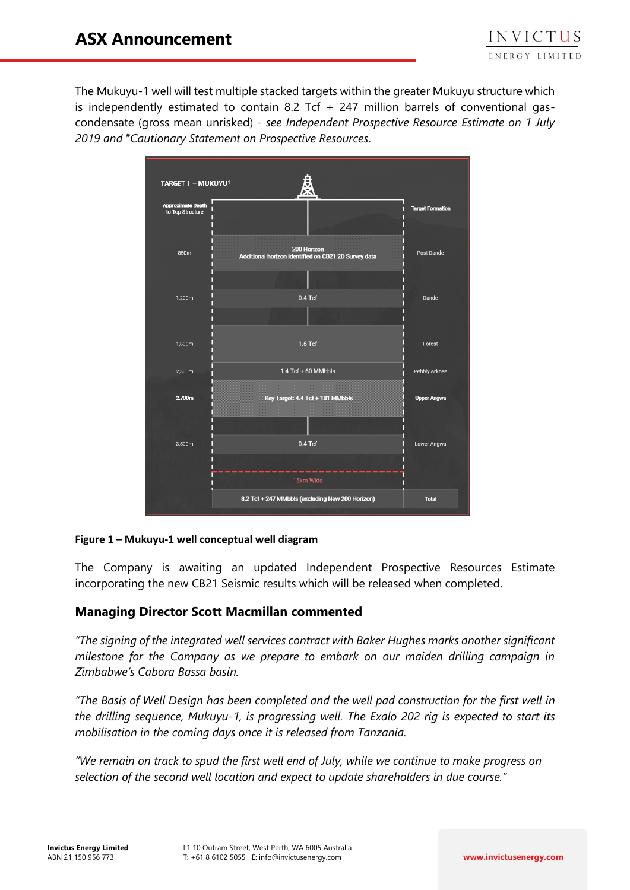The Mukuyu-1 well will test multiple stacked targets within the greater Mukuyu structure which is independently estimated to contain 8.2 Tcf  $+$  247 million barrels of conventional gascondensate (gross mean unrisked) - *see Independent Prospective Resource Estimate on 1 July 2019 and #Cautionary Statement on Prospective Resources*.

| TARGET 1 - MUKUYU <sup>1</sup>               |                                                                     |                         |
|----------------------------------------------|---------------------------------------------------------------------|-------------------------|
| <b>Approximate Depth</b><br>to Top Structure |                                                                     | <b>Target Formation</b> |
| 850m                                         | 200 Horizon<br>Additional horizon identified on CB21 2D Survey data | Post Dande              |
| 1,200m                                       | $0.4$ Tcf                                                           | Dande                   |
| 1,800m                                       | $1.6$ Tcf                                                           | Forest                  |
| 2,300m                                       | $1.4$ Tcf + 60 MMbbls                                               | Pebbly Arkose           |
| 2,700m                                       | Key Target: 4.4 Tcf + 181 MMbbls                                    | <b>Upper Angwa</b>      |
| 3,500m                                       | $0.4$ Tcf                                                           | Lower Angwa             |
|                                              | 15km Wide<br>8.2 Tcf + 247 MMbbls (excluding New 200 Horizon)       | <b>Total</b>            |

#### **Figure 1 – Mukuyu-1 well conceptual well diagram**

The Company is awaiting an updated Independent Prospective Resources Estimate incorporating the new CB21 Seismic results which will be released when completed.

#### **Managing Director Scott Macmillan commented**

*"The signing of the integrated well services contract with Baker Hughes marks another significant milestone for the Company as we prepare to embark on our maiden drilling campaign in Zimbabwe's Cabora Bassa basin.* 

*"The Basis of Well Design has been completed and the well pad construction for the first well in the drilling sequence, Mukuyu-1, is progressing well. The Exalo 202 rig is expected to start its mobilisation in the coming days once it is released from Tanzania.* 

*"We remain on track to spud the first well end of July, while we continue to make progress on selection of the second well location and expect to update shareholders in due course."*